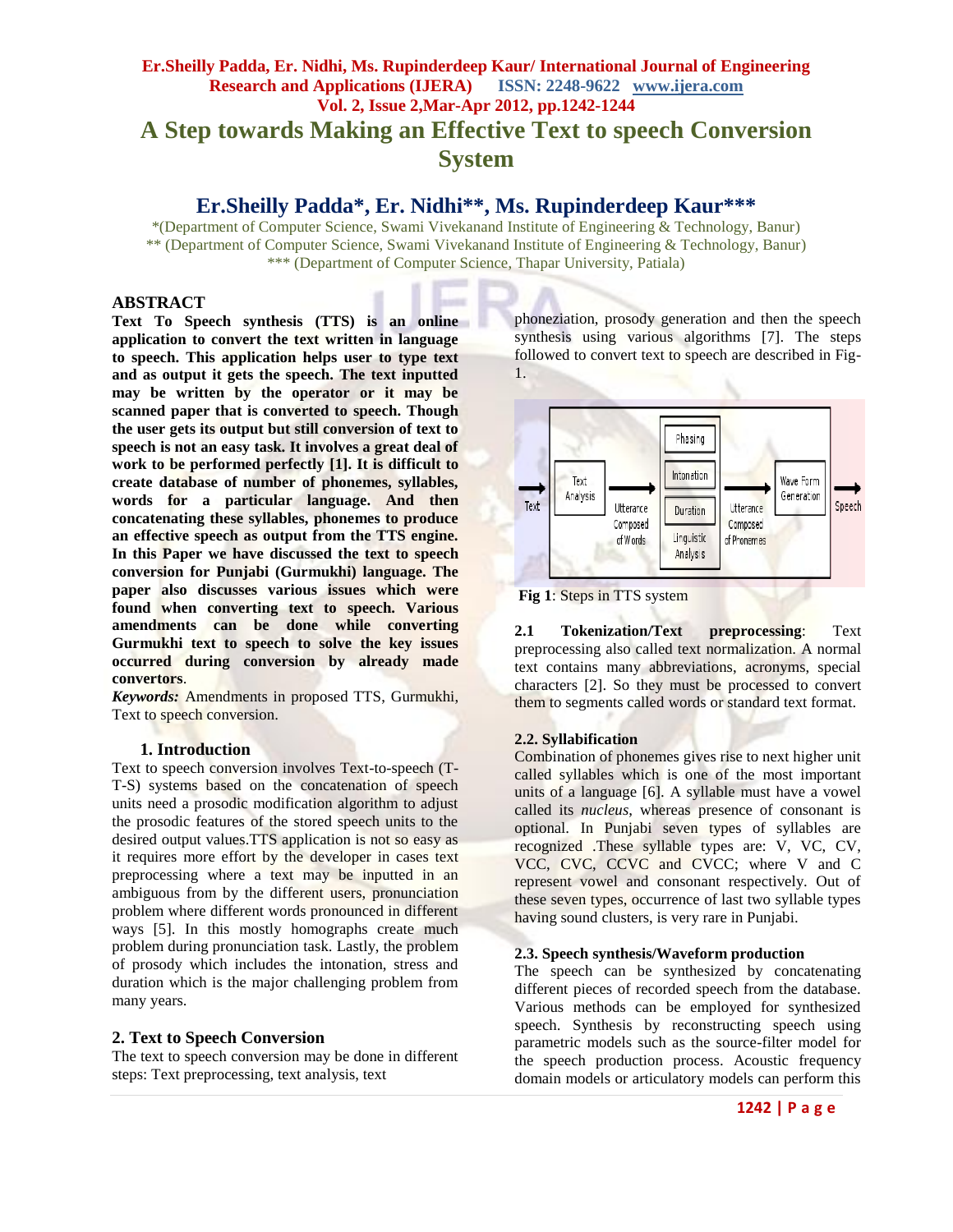# **Er.Sheilly Padda, Er. Nidhi, Ms. Rupinderdeep Kaur/ International Journal of Engineering Research and Applications (IJERA) ISSN: 2248-9622 www.ijera.com Vol. 2, Issue 2,Mar-Apr 2012, pp.1242-1244 A Step towards Making an Effective Text to speech Conversion System**

# **Er.Sheilly Padda\*, Er. Nidhi\*\*, Ms. Rupinderdeep Kaur\*\*\***

\*(Department of Computer Science, Swami Vivekanand Institute of Engineering & Technology, Banur) \*\* (Department of Computer Science, Swami Vivekanand Institute of Engineering & Technology, Banur) \*\*\* (Department of Computer Science, Thapar University, Patiala)

## **ABSTRACT**

**Text To Speech synthesis (TTS) is an online application to convert the text written in language to speech. This application helps user to type text and as output it gets the speech. The text inputted may be written by the operator or it may be scanned paper that is converted to speech. Though the user gets its output but still conversion of text to speech is not an easy task. It involves a great deal of work to be performed perfectly [1]. It is difficult to create database of number of phonemes, syllables, words for a particular language. And then concatenating these syllables, phonemes to produce an effective speech as output from the TTS engine. In this Paper we have discussed the text to speech conversion for Punjabi (Gurmukhi) language. The paper also discusses various issues which were found when converting text to speech. Various amendments can be done while converting Gurmukhi text to speech to solve the key issues occurred during conversion by already made convertors**.

*Keywords:* Amendments in proposed TTS, Gurmukhi, Text to speech conversion.

## **1. Introduction**

Text to speech conversion involves Text-to-speech (T-T-S) systems based on the concatenation of speech units need a prosodic modification algorithm to adjust the prosodic features of the stored speech units to the desired output values.TTS application is not so easy as it requires more effort by the developer in cases text preprocessing where a text may be inputted in an ambiguous from by the different users, pronunciation problem where different words pronounced in different ways [5]. In this mostly homographs create much problem during pronunciation task. Lastly, the problem of prosody which includes the intonation, stress and duration which is the major challenging problem from many years.

## **2. Text to Speech Conversion**

The text to speech conversion may be done in different steps: Text preprocessing, text analysis, text

phoneziation, prosody generation and then the speech synthesis using various algorithms [7]. The steps followed to convert text to speech are described in Fig-1.





**2.1 Tokenization/Text preprocessing**: Text preprocessing also called text normalization. A normal text contains many abbreviations, acronyms, special characters [2]. So they must be processed to convert them to segments called words or standard text format.

## **2.2. Syllabification**

Combination of phonemes gives rise to next higher unit called syllables which is one of the most important units of a language [6]. A syllable must have a vowel called its *nucleus*, whereas presence of consonant is optional. In Punjabi seven types of syllables are recognized .These syllable types are: V, VC, CV, VCC, CVC, CCVC and CVCC; where V and C represent vowel and consonant respectively. Out of these seven types, occurrence of last two syllable types having sound clusters, is very rare in Punjabi.

## **2.3. Speech synthesis/Waveform production**

The speech can be synthesized by concatenating different pieces of recorded speech from the database. Various methods can be employed for synthesized speech. Synthesis by reconstructing speech using parametric models such as the source-filter model for the speech production process. Acoustic frequency domain models or articulatory models can perform this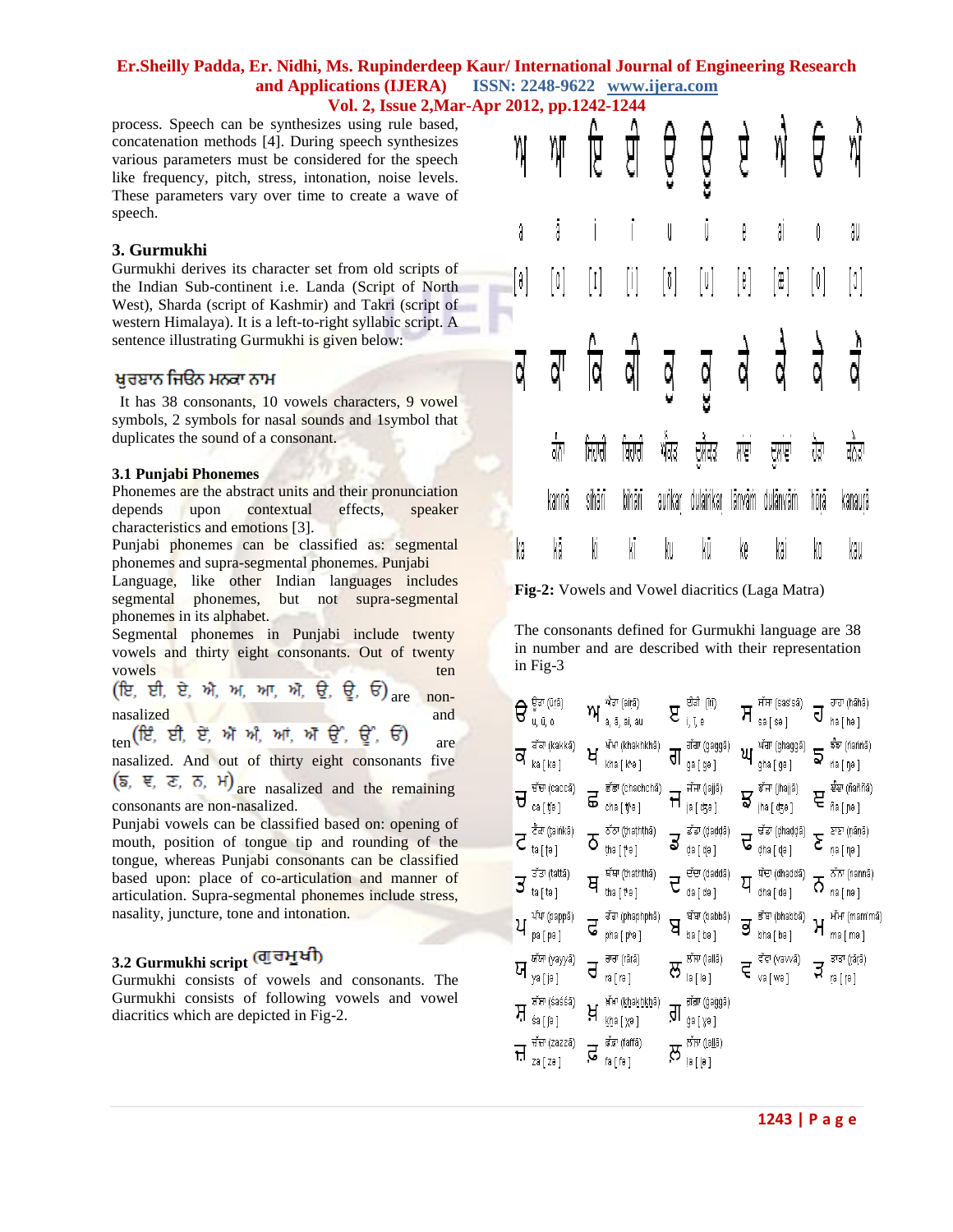## **Er.Sheilly Padda, Er. Nidhi, Ms. Rupinderdeep Kaur/ International Journal of Engineering Research and Applications (IJERA) ISSN: 2248-9622 www.ijera.com Vol. 2, Issue 2,Mar-Apr 2012, pp.1242-1244**

process. Speech can be synthesizes using rule based, concatenation methods [4]. During speech synthesizes various parameters must be considered for the speech like frequency, pitch, stress, intonation, noise levels. These parameters vary over time to create a wave of speech.

#### **3. Gurmukhi**

Gurmukhi derives its character set from old scripts of the Indian Sub-continent i.e. Landa (Script of North West), Sharda (script of Kashmir) and Takri (script of western Himalaya). It is a left-to-right syllabic script. A sentence illustrating Gurmukhi is given below:

## ਖਰਬਾਨ ਜਿਓਨ ਮਨਕਾ ਨਾਮ

 It has 38 consonants, 10 vowels characters, 9 vowel symbols, 2 symbols for nasal sounds and 1symbol that duplicates the sound of a consonant.

#### **3.1 Punjabi Phonemes**

Phonemes are the abstract units and their pronunciation depends upon contextual effects, speaker characteristics and emotions [3].

Punjabi phonemes can be classified as: segmental phonemes and supra-segmental phonemes. Punjabi

Language, like other Indian languages includes segmental phonemes, but not supra-segmental phonemes in its alphabet.

Segmental phonemes in Punjabi include twenty vowels and thirty eight consonants. Out of twenty vowels ten

are nonnasalized and

ten (ਇੰ, ਈ, ਏਂ, ਐਂ ਐ, ਆਂ, ਐਂ ਉੰ, ਊੰ, ਓਂ)<br>are

nasalized. And out of thirty eight consonants five  $(\overline{s}, \overline{\epsilon}, \overline{\epsilon}, \overline{\delta}, \overline{\theta})$  are nasalized and the remaining

consonants are non-nasalized.

Punjabi vowels can be classified based on: opening of mouth, position of tongue tip and rounding of the tongue, whereas Punjabi consonants can be classified based upon: place of co-articulation and manner of articulation. Supra-segmental phonemes include stress, nasality, juncture, tone and intonation.

## **3.2 Gurmukhi script**

Gurmukhi consists of vowels and consonants. The Gurmukhi consists of following vowels and vowel diacritics which are depicted in Fig-2.

| Y)               | ηг               |                  |        |                   | ਇ ਈ ਉ ਉ ਏ       |                  | $\eta$                                        | ਓ      | ηÌ               |  |
|------------------|------------------|------------------|--------|-------------------|-----------------|------------------|-----------------------------------------------|--------|------------------|--|
| â                | j.               |                  |        | U                 | j               | e.               | â                                             | Ů      | âU               |  |
| $[\hat{\theta}]$ | $[\mathfrak{a}]$ | $[1] \qquad [1]$ |        |                   | $[0] \quad [0]$ | $[\mathfrak{k}]$ | $[ \begin{smallmatrix} 2 \end{smallmatrix} ]$ | [0]    | $[\mathfrak{I}]$ |  |
| ₫                | ਕ੍ਰਾ             |                  |        |                   | विवीवुवुवे वै   |                  |                                               | वे     | वै               |  |
|                  | क्षै             | ਸਿਹਾਰੀ           | ਬਿਹਾਰੀ | र्षेत्र<br>प्रदेश |                 | ਦੁਲੈਕਟ ਲਾਞਾਂ     | ਦੁਲਾਵਾਂ                                       | ਹੋਂਵਾਂ | वैद्रग           |  |
|                  | kannå            | sihåri           | bihārī |                   |                 |                  | auńkar dulaińkar länväm dulänväm              | hörä   | kanaur           |  |
| kâ               | kā               | Kİ               | KÏ     | ku                | kü              | ke               | kai                                           | kO     | kau              |  |

**Fig-2:** Vowels and Vowel diacritics (Laga Matra)

The consonants defined for Gurmukhi language are 38 in number and are described with their representation in Fig-3

|    | ਊੜਾ (ūṛā)<br>u, ū, o        |    | ਐਡਾ (airā)<br>a, ā, ai, au     | Я  | ਈਡੀ (it)<br>i, ī, e                | ਸ | ਸੱਸਾ (sas'sā)<br>sa [ sə ]   | ิง | ਹਾਹਾ (hãhã)<br>ha [ hə ]  |
|----|-----------------------------|----|--------------------------------|----|------------------------------------|---|------------------------------|----|---------------------------|
| ਕ  | ਕੱਕਾ (kakkā)<br>ka [ kə ]   | ਖ  | ਖੱਖਾ (khakhkhā)<br>kha [ kʰə ] | ਗ  | गॅगा (gaggā)<br>ga [ gə ]          | ਘ | ਘੱਗਾ (ghaggã)<br>gha [ gə ]  | 5  | ৰ্ষক (nanna)<br>ńа ( ŋə ) |
| ਚ  | ਚੱਚਾ (caccã)<br>ca [ tʃə ]  | ළ  | ਛੱਛਾ (chachchã)<br>cha [tʰə ]  | ℸ  | सॅस' (jajjā)<br>ја [ ођа ]         | ਝ | इॅम' (jhajjā)<br>jha [ ʤə ]  | ਞ  | ਬੰਬਾ (ñaññā)<br>ñа [ рә ] |
| ट  | ਟੈਂਕਾ (ṭaiṅkā)<br>ta [ (ə ] | δ  | ਠੰਠਾ (ṭhaṭhṭhā)<br>tha [ † ə ] | ತ  | ਡੱਡਾ (ḍaḍḍā)<br>da [ də ]          | ਦ | ਢੰਡਾ (dhaddā)<br>dha [ d̥ə ] |    | ਣਾਣਾ (ņāņā)<br>ņa [ ηə ]  |
| उ  | ਤੱਤਾ (tattã)<br>ta [ tə ]   | ਥ  | ਥੱਥਾ (thaththā)<br>tha [ the ] | ਦ  | ਦੱਦਾ (daddā)<br>da [ də ]          | ਪ | ਧੱਦਾ (dhaddā)<br>dha [ də ]  | ᢙ  | ਨੱਨਾ (nannã)<br>na [ nə ] |
| ਪ  | ਪੱਪਾ (pappā)<br>pa [ pə ]   | ढ  | ਢੰਢਾ (phaphphã)<br>pha [ pʰə ] | m  | ਬੱਬਾ (babbā)<br>ba [ bə ]          | ತ | ਭੱਬਾ (bhabbā)<br>bha [ bə ]  | ਮ  | ਮੱਮਾ (mam'mā<br>ma [ mə ] |
| ਯ  | ਯੱਯਾ (yayyã)<br>ya [ jə ]   | d  | ਰਾਰਾ (rārā)<br>ra [ rə ]       | ਲ  | ਲੱਲਾ (Iallã)<br>la [ lə ]          | ਵ | ਵੱਵਾ (vavvã)<br>va [ we ]    |    | ੜਾੜਾ (ṛāṛā)<br>ra [ (ə ]  |
| ਸ਼ | ਸ਼ੱਸਾ (śaśśā)<br>śa [∫ə ]   | ਖ਼ | ਮੱਖਾ (khakhkhā)<br>kba [ χə ]  | ਗ਼ | ਗ਼ੱਗ਼ਾ (ġaġġā)<br>ġa [ γə ]        |   |                              |    |                           |
| ਜ਼ | सॅस' (zazzā)<br>za [ zə ]   |    | .डॅ.ड्रग (faffā)<br>fa [ fə ]  | ਲ਼ | ਲੱਲਾ ( <u>l</u> allã)<br> a [  ə ] |   |                              |    |                           |